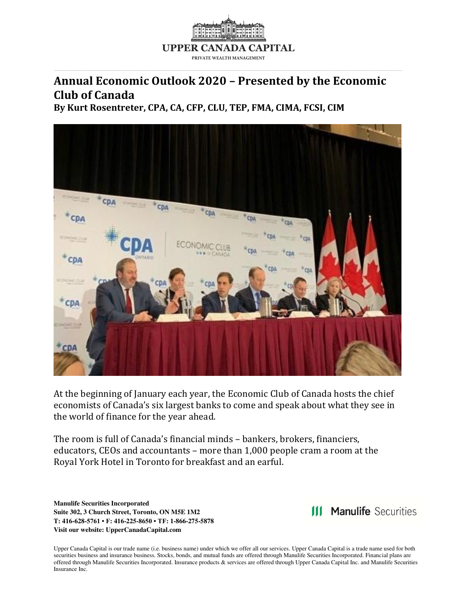

# **Annual Economic Outlook 2020 – Presented by the Economic Club of Canada**

**By Kurt Rosentreter, CPA, CA, CFP, CLU, TEP, FMA, CIMA, FCSI, CIM** 



At the beginning of January each year, the Economic Club of Canada hosts the chief economists of Canada's six largest banks to come and speak about what they see in the world of finance for the year ahead.

The room is full of Canada's financial minds – bankers, brokers, financiers, educators, CEOs and accountants – more than 1,000 people cram a room at the Royal York Hotel in Toronto for breakfast and an earful.

**Manulife Securities Incorporated Suite 302, 3 Church Street, Toronto, ON M5E 1M2 T: 416-628-5761 • F: 416-225-8650 • TF: 1-866-275-5878 Visit our website: UpperCanadaCapital.com** 

**111 Manulife Securities**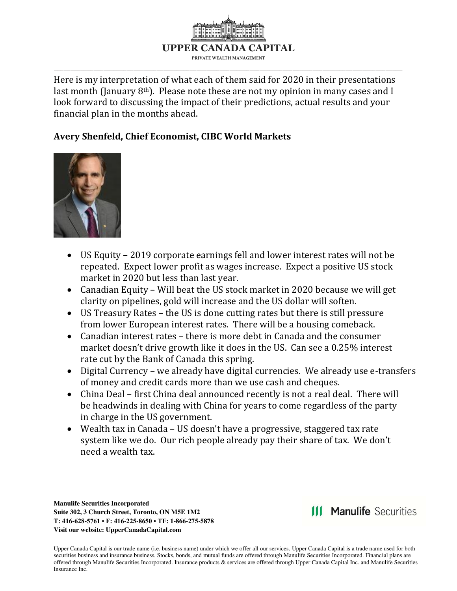

Here is my interpretation of what each of them said for 2020 in their presentations last month (January  $8<sup>th</sup>$ ). Please note these are not my opinion in many cases and I look forward to discussing the impact of their predictions, actual results and your financial plan in the months ahead.

# **Avery Shenfeld, Chief Economist, CIBC World Markets**



- US Equity 2019 corporate earnings fell and lower interest rates will not be repeated. Expect lower profit as wages increase. Expect a positive US stock market in 2020 but less than last year.
- Canadian Equity Will beat the US stock market in 2020 because we will get clarity on pipelines, gold will increase and the US dollar will soften.
- US Treasury Rates the US is done cutting rates but there is still pressure from lower European interest rates. There will be a housing comeback.
- Canadian interest rates there is more debt in Canada and the consumer market doesn't drive growth like it does in the US. Can see a 0.25% interest rate cut by the Bank of Canada this spring.
- Digital Currency we already have digital currencies. We already use e-transfers of money and credit cards more than we use cash and cheques.
- China Deal first China deal announced recently is not a real deal. There will be headwinds in dealing with China for years to come regardless of the party in charge in the US government.
- Wealth tax in Canada US doesn't have a progressive, staggered tax rate system like we do. Our rich people already pay their share of tax. We don't need a wealth tax.

**Manulife Securities Incorporated Suite 302, 3 Church Street, Toronto, ON M5E 1M2 T: 416-628-5761 • F: 416-225-8650 • TF: 1-866-275-5878 Visit our website: UpperCanadaCapital.com** 

**111 Manulife Securities**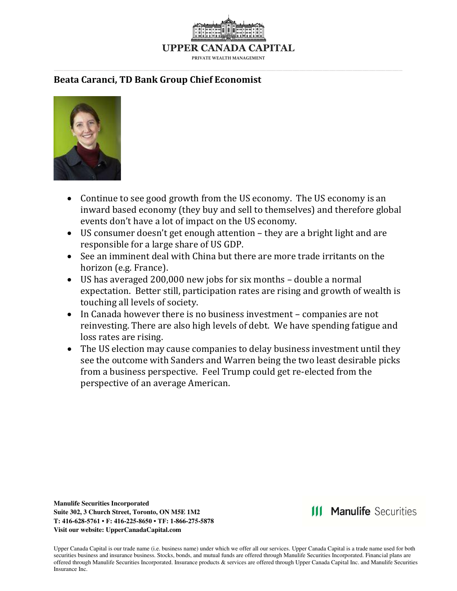

#### **Beata Caranci, TD Bank Group Chief Economist**



- Continue to see good growth from the US economy. The US economy is an inward based economy (they buy and sell to themselves) and therefore global events don't have a lot of impact on the US economy.
- US consumer doesn't get enough attention they are a bright light and are responsible for a large share of US GDP.
- See an imminent deal with China but there are more trade irritants on the horizon (e.g. France).
- US has averaged 200,000 new jobs for six months double a normal expectation. Better still, participation rates are rising and growth of wealth is touching all levels of society.
- In Canada however there is no business investment companies are not reinvesting. There are also high levels of debt. We have spending fatigue and loss rates are rising.
- The US election may cause companies to delay business investment until they see the outcome with Sanders and Warren being the two least desirable picks from a business perspective. Feel Trump could get re-elected from the perspective of an average American.

**Manulife Securities Incorporated Suite 302, 3 Church Street, Toronto, ON M5E 1M2 T: 416-628-5761 • F: 416-225-8650 • TF: 1-866-275-5878 Visit our website: UpperCanadaCapital.com** 

**III Manulife Securities**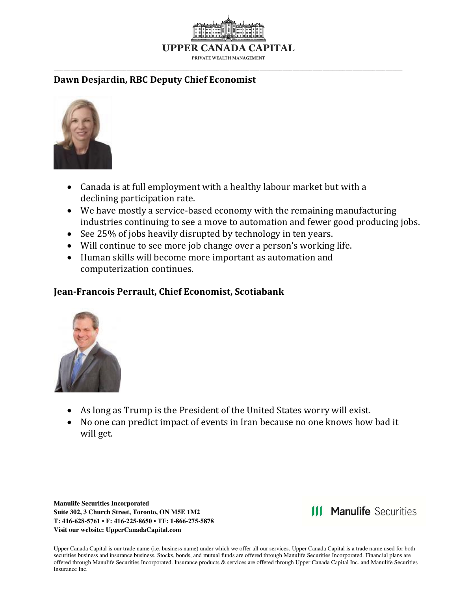

### **Dawn Desjardin, RBC Deputy Chief Economist**



- Canada is at full employment with a healthy labour market but with a declining participation rate.
- We have mostly a service-based economy with the remaining manufacturing industries continuing to see a move to automation and fewer good producing jobs.
- See 25% of jobs heavily disrupted by technology in ten years.
- Will continue to see more job change over a person's working life.
- Human skills will become more important as automation and computerization continues.

# **Jean-Francois Perrault, Chief Economist, Scotiabank**



- As long as Trump is the President of the United States worry will exist.
- No one can predict impact of events in Iran because no one knows how bad it will get.

**Manulife Securities Incorporated Suite 302, 3 Church Street, Toronto, ON M5E 1M2 T: 416-628-5761 • F: 416-225-8650 • TF: 1-866-275-5878 Visit our website: UpperCanadaCapital.com** 

**III Manulife Securities**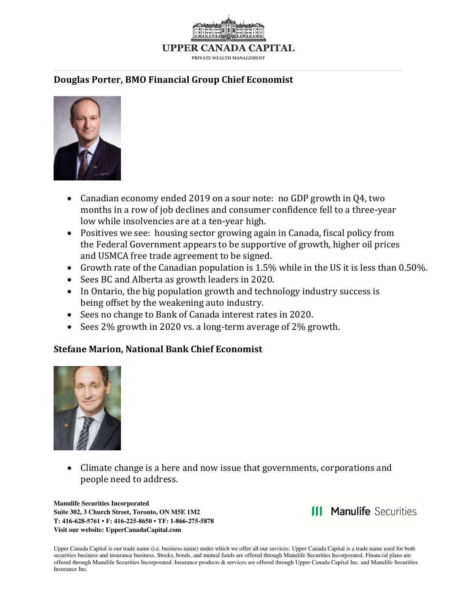

# **Douglas Porter, BMO Financial Group Chief Economist**



- Canadian economy ended 2019 on a sour note: no GDP growth in Q4, two months in a row of job declines and consumer confidence fell to a three-year low while insolvencies are at a ten-year high.
- Positives we see: housing sector growing again in Canada, fiscal policy from the Federal Government appears to be supportive of growth, higher oil prices and USMCA free trade agreement to be signed.
- Growth rate of the Canadian population is 1.5% while in the US it is less than 0.50%.
- Sees BC and Alberta as growth leaders in 2020.
- In Ontario, the big population growth and technology industry success is being offset by the weakening auto industry.
- Sees no change to Bank of Canada interest rates in 2020.
- Sees 2% growth in 2020 vs. a long-term average of 2% growth.

#### **Stefane Marion, National Bank Chief Economist**



• Climate change is a here and now issue that governments, corporations and people need to address.

**Manulife Securities Incorporated Suite 302, 3 Church Street, Toronto, ON M5E 1M2 T: 416-628-5761 • F: 416-225-8650 • TF: 1-866-275-5878 Visit our website: UpperCanadaCapital.com** 

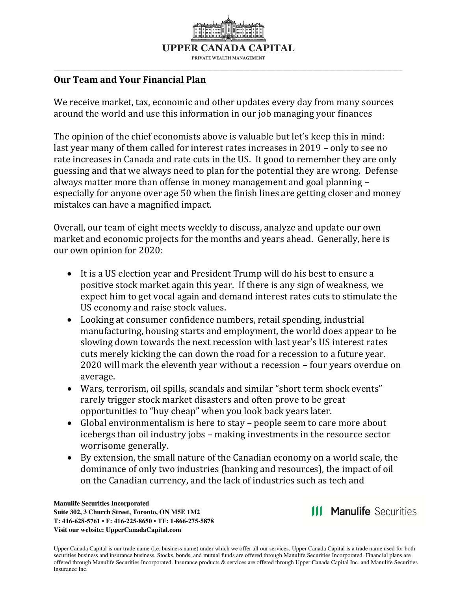

### **Our Team and Your Financial Plan**

We receive market, tax, economic and other updates every day from many sources around the world and use this information in our job managing your finances

The opinion of the chief economists above is valuable but let's keep this in mind: last year many of them called for interest rates increases in 2019 – only to see no rate increases in Canada and rate cuts in the US. It good to remember they are only guessing and that we always need to plan for the potential they are wrong. Defense always matter more than offense in money management and goal planning – especially for anyone over age 50 when the finish lines are getting closer and money mistakes can have a magnified impact.

Overall, our team of eight meets weekly to discuss, analyze and update our own market and economic projects for the months and years ahead. Generally, here is our own opinion for 2020:

- It is a US election year and President Trump will do his best to ensure a positive stock market again this year. If there is any sign of weakness, we expect him to get vocal again and demand interest rates cuts to stimulate the US economy and raise stock values.
- Looking at consumer confidence numbers, retail spending, industrial manufacturing, housing starts and employment, the world does appear to be slowing down towards the next recession with last year's US interest rates cuts merely kicking the can down the road for a recession to a future year. 2020 will mark the eleventh year without a recession – four years overdue on average.
- Wars, terrorism, oil spills, scandals and similar "short term shock events" rarely trigger stock market disasters and often prove to be great opportunities to "buy cheap" when you look back years later.
- Global environmentalism is here to stay people seem to care more about icebergs than oil industry jobs – making investments in the resource sector worrisome generally.
- By extension, the small nature of the Canadian economy on a world scale, the dominance of only two industries (banking and resources), the impact of oil on the Canadian currency, and the lack of industries such as tech and

**Manulife Securities Incorporated Suite 302, 3 Church Street, Toronto, ON M5E 1M2 T: 416-628-5761 • F: 416-225-8650 • TF: 1-866-275-5878 Visit our website: UpperCanadaCapital.com** 

**111 Manulife Securities**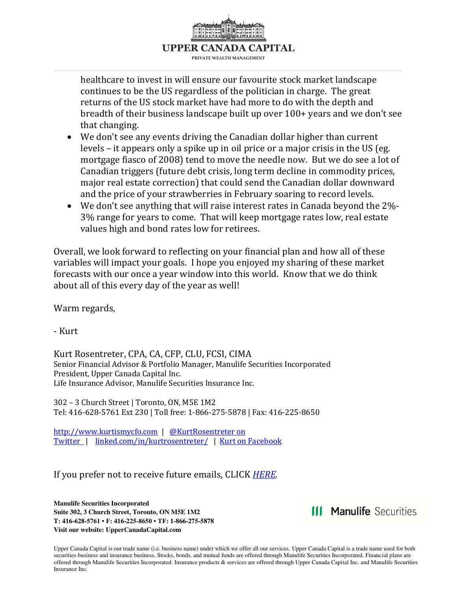

healthcare to invest in will ensure our favourite stock market landscape continues to be the US regardless of the politician in charge. The great returns of the US stock market have had more to do with the depth and breadth of their business landscape built up over 100+ years and we don't see that changing.

- We don't see any events driving the Canadian dollar higher than current levels – it appears only a spike up in oil price or a major crisis in the US (eg. mortgage fiasco of 2008) tend to move the needle now. But we do see a lot of Canadian triggers (future debt crisis, long term decline in commodity prices, major real estate correction) that could send the Canadian dollar downward and the price of your strawberries in February soaring to record levels.
- We don't see anything that will raise interest rates in Canada beyond the 2%- 3% range for years to come. That will keep mortgage rates low, real estate values high and bond rates low for retirees.

Overall, we look forward to reflecting on your financial plan and how all of these variables will impact your goals. I hope you enjoyed my sharing of these market forecasts with our once a year window into this world. Know that we do think about all of this every day of the year as well!

Warm regards,

- Kurt

Kurt Rosentreter, CPA, CA, CFP, CLU, FCSI, CIMA Senior Financial Advisor & Portfolio Manager, Manulife Securities Incorporated President, Upper Canada Capital Inc. Life Insurance Advisor, Manulife Securities Insurance Inc.

302 – 3 Church Street | Toronto, ON, M5E 1M2 Tel: 416-628-5761 Ext 230 | Toll free: 1-866-275-5878 | Fax: 416-225-8650

[http://www.kurtismycfo.com](http://www.kurtismycfo.com/) | [@KurtRosentreter on](https://twitter.com/KurtRosentreter)  [Twitter |](https://twitter.com/KurtRosentreter) [linked.com/in/kurtrosentreter/](https://www.linkedin.com/in/kurtrosentreter/) | [Kurt on Facebook](https://www.facebook.com/kurtismycfo/)

If you prefer not to receive future emails, CLICK *[HERE.](mailto:kurt.rosentreter%40manulifesecurities.ca?subject=Please%20unsubscribe&cc=laura.collins%40manulifesecurities.ca)*

**Manulife Securities Incorporated Suite 302, 3 Church Street, Toronto, ON M5E 1M2 T: 416-628-5761 • F: 416-225-8650 • TF: 1-866-275-5878 Visit our website: UpperCanadaCapital.com** 

**111 Manulife Securities**